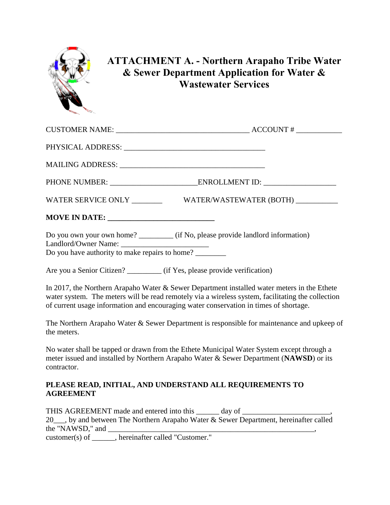

## **ATTACHMENT A. - Northern Arapaho Tribe Water & Sewer Department Application for Water & Wastewater Services**

|                                                                           | CUSTOMER NAME: $\_\_$                                                                                                                                                                            |
|---------------------------------------------------------------------------|--------------------------------------------------------------------------------------------------------------------------------------------------------------------------------------------------|
|                                                                           |                                                                                                                                                                                                  |
|                                                                           |                                                                                                                                                                                                  |
|                                                                           |                                                                                                                                                                                                  |
|                                                                           | WATER SERVICE ONLY _________________WATER/WASTEWATER (BOTH) ____________________                                                                                                                 |
|                                                                           |                                                                                                                                                                                                  |
| Do you have authority to make repairs to home?                            | Do you own your own home? __________ (if No, please provide landlord information)                                                                                                                |
| Are you a Senior Citizen? _________ (if Yes, please provide verification) |                                                                                                                                                                                                  |
|                                                                           | In 2017, the Northern Arapaho Water & Sewer Department installed water meters in the Ethete<br>water system. The meters will be read remotely via a wireless system, facilitating the collection |

The Northern Arapaho Water & Sewer Department is responsible for maintenance and upkeep of the meters.

No water shall be tapped or drawn from the Ethete Municipal Water System except through a meter issued and installed by Northern Arapaho Water & Sewer Department (**NAWSD**) or its contractor.

## **PLEASE READ, INITIAL, AND UNDERSTAND ALL REQUIREMENTS TO AGREEMENT**

of current usage information and encouraging water conservation in times of shortage.

THIS AGREEMENT made and entered into this \_\_\_\_\_\_ day of \_\_\_\_\_\_\_\_\_\_\_\_\_\_\_\_\_\_\_\_\_\_\_\_ 20\_\_\_, by and between The Northern Arapaho Water & Sewer Department, hereinafter called the "NAWSD," and \_\_\_\_\_\_\_\_\_\_\_\_\_\_\_\_\_\_\_\_\_\_\_\_\_\_\_\_\_\_\_\_\_\_\_\_\_\_\_\_\_\_\_\_\_\_\_\_\_\_\_\_\_\_,

customer(s) of \_\_\_\_\_\_, hereinafter called "Customer."